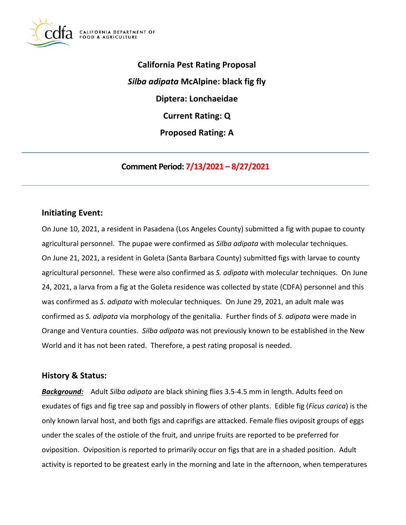

**California Pest Rating Proposal**  *Silba adipata* **McAlpine: black fig fly Diptera: Lonchaeidae Current Rating: Q Proposed Rating: A** 

**Comment Period: 7/13/2021 – 8/27/2021**

### **Initiating Event:**

On June 10, 2021, a resident in Pasadena (Los Angeles County) submitted a fig with pupae to county agricultural personnel. The pupae were confirmed as *Silba adipata* with molecular techniques. On June 21, 2021, a resident in Goleta (Santa Barbara County) submitted figs with larvae to county agricultural personnel. These were also confirmed as *S. adipata* with molecular techniques. On June 24, 2021, a larva from a fig at the Goleta residence was collected by state (CDFA) personnel and this was confirmed as *S. adipata* with molecular techniques. On June 29, 2021, an adult male was confirmed as *S. adipata* via morphology of the genitalia. Further finds of *S. adipata* were made in Orange and Ventura counties. *Silba adipata* was not previously known to be established in the New World and it has not been rated. Therefore, a pest rating proposal is needed.

### **History & Status:**

*Background:* Adult *Silba adipata* are black shining flies 3.5-4.5 mm in length. Adults feed on exudates of figs and fig tree sap and possibly in flowers of other plants. Edible fig (*Ficus carica*) is the only known larval host, and both figs and caprifigs are attacked. Female flies oviposit groups of eggs under the scales of the ostiole of the fruit, and unripe fruits are reported to be preferred for oviposition. Oviposition is reported to primarily occur on figs that are in a shaded position. Adult activity is reported to be greatest early in the morning and late in the afternoon, when temperatures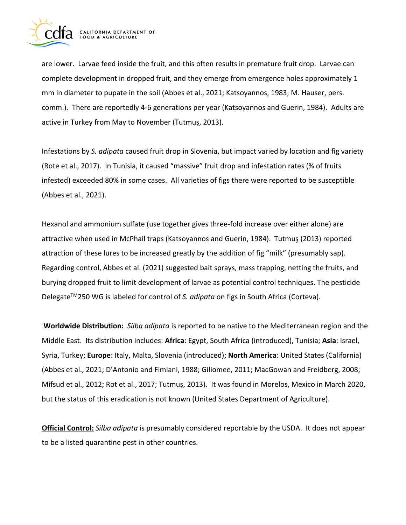

are lower. Larvae feed inside the fruit, and this often results in premature fruit drop. Larvae can complete development in dropped fruit, and they emerge from emergence holes approximately 1 mm in diameter to pupate in the soil (Abbes et al., 2021; Katsoyannos, 1983; M. Hauser, pers. comm.). There are reportedly 4-6 generations per year (Katsoyannos and Guerin, 1984). Adults are active in Turkey from May to November (Tutmuş, 2013).

Infestations by *S. adipata* caused fruit drop in Slovenia, but impact varied by location and fig variety (Rote et al., 2017). In Tunisia, it caused "massive" fruit drop and infestation rates (% of fruits infested) exceeded 80% in some cases. All varieties of figs there were reported to be susceptible (Abbes et al., 2021).

Hexanol and ammonium sulfate (use together gives three-fold increase over either alone) are attractive when used in McPhail traps (Katsoyannos and Guerin, 1984). Tutmuş (2013) reported attraction of these lures to be increased greatly by the addition of fig "milk" (presumably sap). Regarding control, Abbes et al. (2021) suggested bait sprays, mass trapping, netting the fruits, and burying dropped fruit to limit development of larvae as potential control techniques. The pesticide Delegate<sup>™</sup>250 WG is labeled for control of *S. adipata* on figs in South Africa (Corteva).

**Worldwide Distribution:** *Silba adipata* is reported to be native to the Mediterranean region and the Middle East. Its distribution includes: **Africa**: Egypt, South Africa (introduced), Tunisia; **Asia**: Israel, Syria, Turkey; **Europe**: Italy, Malta, Slovenia (introduced); **North America**: United States (California) (Abbes et al., 2021; D'Antonio and Fimiani, 1988; Giliomee, 2011; MacGowan and Freidberg, 2008; Mifsud et al., 2012; Rot et al., 2017; Tutmuş, 2013). It was found in Morelos, Mexico in March 2020, but the status of this eradication is not known (United States Department of Agriculture).

**Official Control:** *Silba adipata* is presumably considered reportable by the USDA. It does not appear to be a listed quarantine pest in other countries.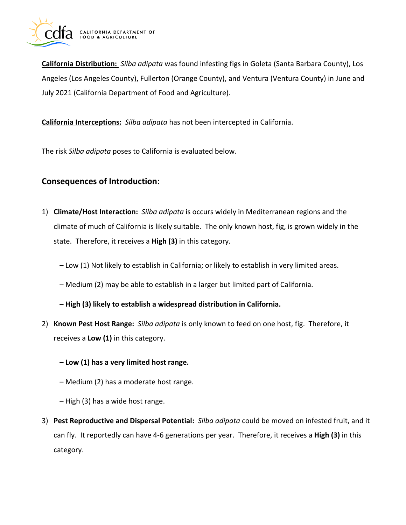

**California Distribution:** *Silba adipata* was found infesting figs in Goleta (Santa Barbara County), Los Angeles (Los Angeles County), Fullerton (Orange County), and Ventura (Ventura County) in June and July 2021 (California Department of Food and Agriculture).

**California Interceptions:** *Silba adipata* has not been intercepted in California.

The risk *Silba adipata* poses to California is evaluated below.

# **Consequences of Introduction:**

- 1) **Climate/Host Interaction:** *Silba adipata* is occurs widely in Mediterranean regions and the climate of much of California is likely suitable. The only known host, fig, is grown widely in the state. Therefore, it receives a **High (3)** in this category.
	- Low (1) Not likely to establish in California; or likely to establish in very limited areas.
	- Medium (2) may be able to establish in a larger but limited part of California.
	- **– High (3) likely to establish a widespread distribution in California.**
- 2) **Known Pest Host Range:** *Silba adipata* is only known to feed on one host, fig. Therefore, it receives a **Low (1)** in this category.
	- **– Low (1) has a very limited host range.**
	- Medium (2) has a moderate host range.
	- High (3) has a wide host range.
- 3) **Pest Reproductive and Dispersal Potential:** *Silba adipata* could be moved on infested fruit, and it can fly. It reportedly can have 4-6 generations per year. Therefore, it receives a **High (3)** in this category.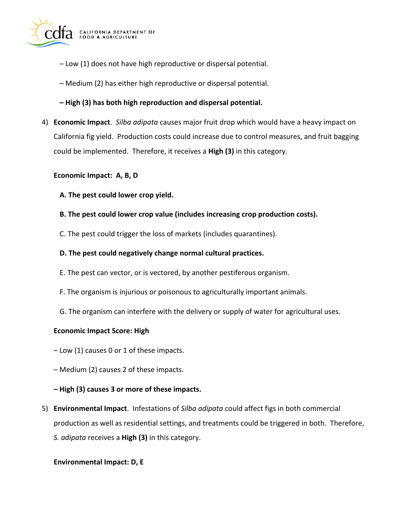

- Low (1) does not have high reproductive or dispersal potential.
- Medium (2) has either high reproductive or dispersal potential.
- **– High (3) has both high reproduction and dispersal potential.**
- 4) **Economic Impact**. *Silba adipata* causes major fruit drop which would have a heavy impact on California fig yield. Production costs could increase due to control measures, and fruit bagging could be implemented. Therefore, it receives a **High (3)** in this category.

#### **Economic Impact: A, B, D**

- **A. The pest could lower crop yield.**
- **B. The pest could lower crop value (includes increasing crop production costs).**
- C. The pest could trigger the loss of markets (includes quarantines).
- **D. The pest could negatively change normal cultural practices.**
- E. The pest can vector, or is vectored, by another pestiferous organism.
- F. The organism is injurious or poisonous to agriculturally important animals.
- G. The organism can interfere with the delivery or supply of water for agricultural uses.

#### **Economic Impact Score: High**

- Low (1) causes 0 or 1 of these impacts.
- Medium (2) causes 2 of these impacts.
- **– High (3) causes 3 or more of these impacts.**
- 5) **Environmental Impact**. Infestations of *Silba adipata* could affect figs in both commercial production as well as residential settings, and treatments could be triggered in both. Therefore, *S. adipata* receives a **High (3)** in this category.

#### **Environmental Impact: D, E**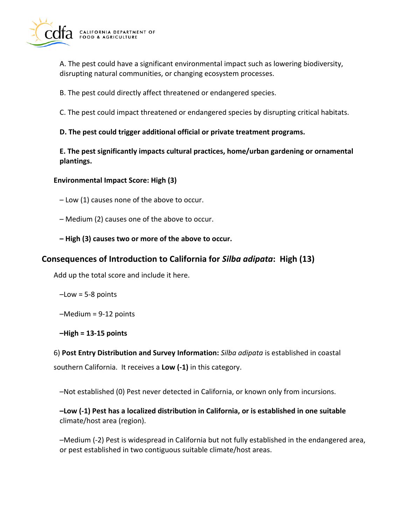

A. The pest could have a significant environmental impact such as lowering biodiversity, disrupting natural communities, or changing ecosystem processes.

B. The pest could directly affect threatened or endangered species.

C. The pest could impact threatened or endangered species by disrupting critical habitats.

**D. The pest could trigger additional official or private treatment programs.** 

**E. The pest significantly impacts cultural practices, home/urban gardening or ornamental plantings.** 

### **Environmental Impact Score: High (3)**

– Low (1) causes none of the above to occur.

– Medium (2) causes one of the above to occur.

**– High (3) causes two or more of the above to occur.** 

### **Consequences of Introduction to California for** *Silba adipata***: High (13)**

Add up the total score and include it here.

–Low = 5-8 points

–Medium = 9-12 points

**–High = 13-15 points** 

6) **Post Entry Distribution and Survey Information:** *Silba adipata* is established in coastal southern California. It receives a **Low (-1)** in this category.

–Not established (0) Pest never detected in California, or known only from incursions.

**–Low (-1) Pest has a localized distribution in California, or is established in one suitable**  climate/host area (region).

–Medium (-2) Pest is widespread in California but not fully established in the endangered area, or pest established in two contiguous suitable climate/host areas.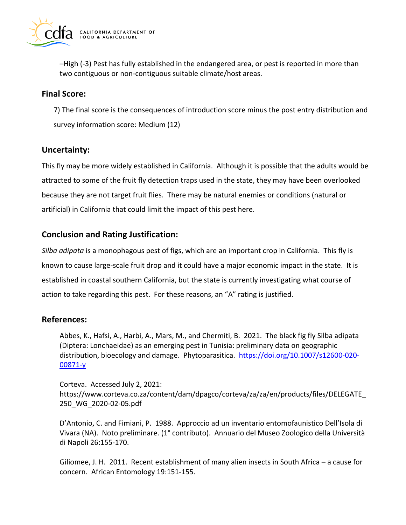

–High (-3) Pest has fully established in the endangered area, or pest is reported in more than two contiguous or non-contiguous suitable climate/host areas.

## **Final Score:**

7) The final score is the consequences of introduction score minus the post entry distribution and survey information score: Medium (12)

## **Uncertainty:**

This fly may be more widely established in California. Although it is possible that the adults would be attracted to some of the fruit fly detection traps used in the state, they may have been overlooked because they are not target fruit flies. There may be natural enemies or conditions (natural or artificial) in California that could limit the impact of this pest here.

## **Conclusion and Rating Justification:**

*Silba adipata* is a monophagous pest of figs, which are an important crop in California. This fly is known to cause large-scale fruit drop and it could have a major economic impact in the state. It is established in coastal southern California, but the state is currently investigating what course of action to take regarding this pest. For these reasons, an "A" rating is justified.

## **References:**

Abbes, K., Hafsi, A., Harbi, A., Mars, M., and Chermiti, B. 2021. The black fig fly Silba adipata (Diptera: Lonchaeidae) as an emerging pest in Tunisia: preliminary data on geographic distribution, bioecology and damage. Phytoparasitica. [https://doi.org/10.1007/s12600-020-](https://doi.org/10.1007/s12600-020-00871-y) [00871-y](https://doi.org/10.1007/s12600-020-00871-y) 

Corteva. Accessed July 2, 2021: <https://www.corteva.co.za/content/dam/dpagco/corteva/za/za/en/products/files/DELEGATE>\_ 250\_WG\_2020-02-05.pdf

D'Antonio, C. and Fimiani, P. 1988. Approccio ad un inventario entomofaunistico Dell'Isola di Vivara (NA). Noto preliminare. (1° contributo). Annuario del Museo Zoologico della Università di Napoli 26:155-170.

Giliomee, J. H. 2011. Recent establishment of many alien insects in South Africa – a cause for concern. African Entomology 19:151-155.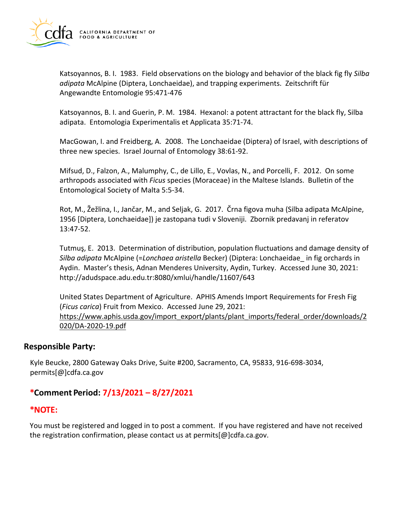

Katsoyannos, B. I. 1983. Field observations on the biology and behavior of the black fig fly *Silba adipata* McAlpine (Diptera, Lonchaeidae), and trapping experiments. Zeitschrift für Angewandte Entomologie 95:471-476

Katsoyannos, B. I. and Guerin, P. M. 1984. Hexanol: a potent attractant for the black fly, Silba adipata. Entomologia Experimentalis et Applicata 35:71-74.

MacGowan, I. and Freidberg, A. 2008. The Lonchaeidae (Diptera) of Israel, with descriptions of three new species. Israel Journal of Entomology 38:61-92.

Mifsud, D., Falzon, A., Malumphy, C., de Lillo, E., Vovlas, N., and Porcelli, F. 2012. On some arthropods associated with *Ficus* species (Moraceae) in the Maltese Islands. Bulletin of the Entomological Society of Malta 5:5-34.

Rot, M., Žežlina, I., Jančar, M., and Seljak, G. 2017. Črna figova muha (Silba adipata McAlpine, 1956 [Diptera, Lonchaeidae]) je zastopana tudi v Sloveniji. Zbornik predavanj in referatov 13:47-52.

Tutmuş, E. 2013. Determination of distribution, population fluctuations and damage density of *Silba adipata* McAlpine (=*Lonchaea aristella* Becker) (Diptera: Lonchaeidae\_ in fig orchards in Aydin. Master's thesis, Adnan Menderes University, Aydin, Turkey. Accessed June 30, 2021: <http://adudspace.adu.edu.tr:8080/xmlui/handle/11607/643>

United States Department of Agriculture. APHIS Amends Import Requirements for Fresh Fig (*Ficus carica*) Fruit from Mexico. Accessed June 29, 2021: [https://www.aphis.usda.gov/import\\_export/plants/plant\\_imports/federal\\_order/downloads/2](https://www.aphis.usda.gov/import_export/plants/plant_imports/federal_order/downloads/2) 020/DA-2020-19.pdf

### **Responsible Party:**

Kyle Beucke, 2800 Gateway Oaks Drive, Suite #200, Sacramento, CA, 95833, 916-698-3034, [permits\[@\]cdfa.ca.gov](https://permits[@]cdfa.ca.gov) 

# **\*Comment Period: 7/13/2021 – 8/27/2021**

### **\*NOTE:**

You must be registered and logged in to post a comment. If you have registered and have not received the registration confirmation, please contact us at [permits\[@\]cdfa.ca.gov](https://permits[@]cdfa.ca.gov).